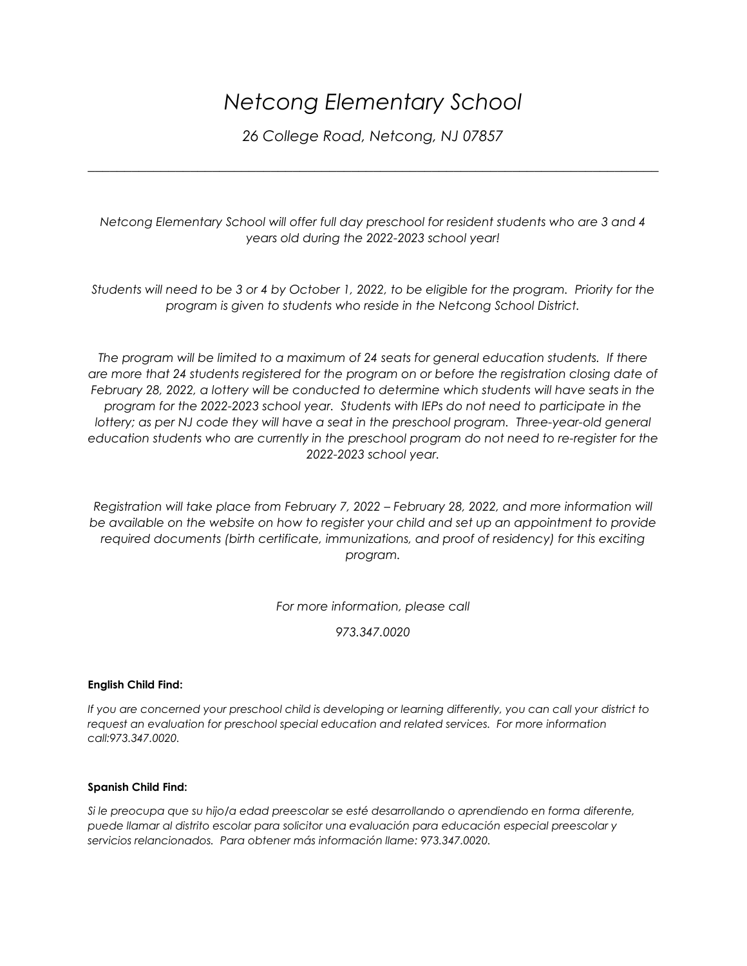## *Netcong Elementary School*

*26 College Road, Netcong, NJ 07857*

*\_\_\_\_\_\_\_\_\_\_\_\_\_\_\_\_\_\_\_\_\_\_\_\_\_\_\_\_\_\_\_\_\_\_\_\_\_\_\_\_\_\_\_\_\_\_\_\_\_\_\_\_\_\_\_\_\_\_\_\_\_\_\_\_\_\_\_\_\_\_\_\_\_\_\_\_\_\_*

*Netcong Elementary School will offer full day preschool for resident students who are 3 and 4 years old during the 2022-2023 school year!*

*Students will need to be 3 or 4 by October 1, 2022, to be eligible for the program. Priority for the program is given to students who reside in the Netcong School District.*

*The program will be limited to a maximum of 24 seats for general education students. If there are more that 24 students registered for the program on or before the registration closing date of February 28, 2022, a lottery will be conducted to determine which students will have seats in the program for the 2022-2023 school year. Students with IEPs do not need to participate in the lottery;* as per NJ code they will have a seat in the preschool program. Three-year-old general *education students who are currently in the preschool program do not need to re-register for the 2022-2023 school year.* 

*Registration will take place from February 7, 2022 – February 28, 2022, and more information will*  be available on the website on how to register your child and set up an appointment to provide *required documents (birth certificate, immunizations, and proof of residency) for this exciting program.*

*For more information, please call*

*973.347.0020*

## **English Child Find:**

*If you are concerned your preschool child is developing or learning differently, you can call your district to request an evaluation for preschool special education and related services. For more information call:973.347.0020.*

## **Spanish Child Find:**

*Si le preocupa que su hijo/a edad preescolar se esté desarrollando o aprendiendo en forma diferente, puede llamar al distrito escolar para solicitor una evaluación para educación especial preescolar y servicios relancionados. Para obtener más información llame: 973.347.0020.*